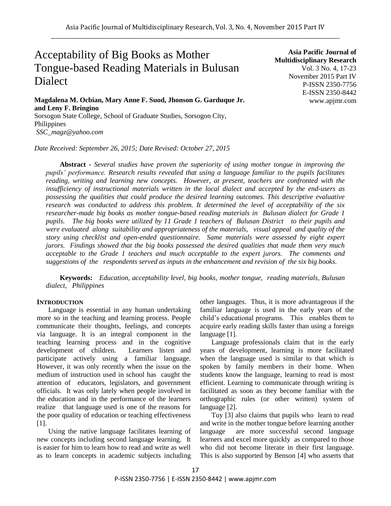# Acceptability of Big Books as Mother Tongue-based Reading Materials in Bulusan Dialect

**Magdalena M. Ocbian, Mary Anne F. Suod, Jhonson G. Garduque Jr. and Leny F. Bringino**

Sorsogon State College, School of Graduate Studies, Sorsogon City, Philippines *SSC\_magz@yahoo.com*

*Date Received: September 26, 2015; Date Revised: October 27, 2015*

**Asia Pacific Journal of Multidisciplinary Research** Vol. 3 No. 4, 17-23 November 2015 Part IV P-ISSN 2350-7756 E-ISSN 2350-8442 www.apjmr.com

**Abstract -** *Several studies have proven the superiority of using mother tongue in improving the pupils" performance. Research results revealed that using a language familiar to the pupils facilitates reading, writing and learning new concepts. However, at present, teachers are confronted with the insufficiency of instructional materials written in the local dialect and accepted by the end-users as possessing the qualities that could produce the desired learning outcomes. This descriptive evaluative research was conducted to address this problem. It determined the level of acceptability of the six researcher-made big books as mother tongue-based reading materials in Bulusan dialect for Grade 1 pupils. The big books were utilized by 11 Grade 1 teachers of Bulusan District to their pupils and were evaluated along suitability and appropriateness of the materials, visual appeal and quality of the story using checklist and open-ended questionnaire. Same materials were assessed by eight expert jurors. Findings showed that the big books possessed the desired qualities that made them very much acceptable to the Grade 1 teachers and much acceptable to the expert jurors. The comments and suggestions of the respondents served as inputs in the enhancement and revision of the six big books.* 

**Keywords:** *Education, acceptability level, big books, mother tongue, reading materials, Bulusan dialect, Philippines*

#### **INTRODUCTION**

Language is essential in any human undertaking more so in the teaching and learning process. People communicate their thoughts, feelings, and concepts via language. It is an integral component in the teaching learning process and in the cognitive development of children. Learners listen and participate actively using a familiar language. However, it was only recently when the issue on the medium of instruction used in school has caught the attention of educators, legislators, and government officials. It was only lately when people involved in the education and in the performance of the learners realize that language used is one of the reasons for the poor quality of education or teaching effectiveness [1].

Using the native language facilitates learning of new concepts including second language learning. It is easier for him to learn how to read and write as well as to learn concepts in academic subjects including other languages. Thus, it is more advantageous if the familiar language is used in the early years of the child's educational programs. This enables them to acquire early reading skills faster than using a foreign language [1].

Language professionals claim that in the early years of development, learning is more facilitated when the language used is similar to that which is spoken by family members in their home. When students know the language, learning to read is most efficient. Learning to communicate through writing is facilitated as soon as they become familiar with the orthographic rules (or other written) system of language [2].

Tuy [3] also claims that pupils who learn to read and write in the mother tongue before learning another language are more successful second language learners and excel more quickly as compared to those who did not become literate in their first language. This is also supported by Benson [4] who asserts that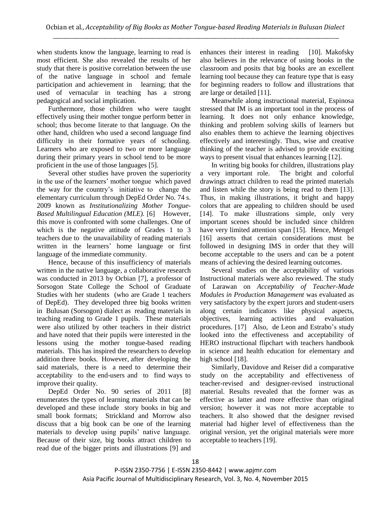when students know the language, learning to read is most efficient. She also revealed the results of her study that there is positive correlation between the use of the native language in school and female participation and achievement in learning; that the used of vernacular in teaching has a strong pedagogical and social implication.

Furthermore, those children who were taught effectively using their mother tongue perform better in school; thus become literate to that language. On the other hand, children who used a second language find difficulty in their formative years of schooling. Learners who are exposed to two or more language during their primary years in school tend to be more proficient in the use of those languages [5].

Several other studies have proven the superiority in the use of the learners' mother tongue which paved the way for the country's initiative to change the elementary curriculum through DepEd Order No. 74 s. 2009 known as *Institutionalizing Mother Tongue-Based Multilingual Education (MLE).* [6] However, this move is confronted with some challenges. One of which is the negative attitude of Grades 1 to 3 teachers due to the unavailability of reading materials written in the learners' home language or first language of the immediate community.

Hence, because of this insufficiency of materials written in the native language, a collaborative research was conducted in 2013 by Ocbian [7], a professor of Sorsogon State College the School of Graduate Studies with her students (who are Grade 1 teachers of DepEd). They developed three big books written in Bulusan (Sorsogon) dialect as reading materials in teaching reading to Grade 1 pupils. These materials were also utilized by other teachers in their district and have noted that their pupils were interested in the lessons using the mother tongue-based reading materials. This has inspired the researchers to develop addition three books. However, after developing the said materials, there is a need to determine their acceptability to the end-users and to find ways to improve their quality.

DepEd Order No. 90 series of 2011 [8] enumerates the types of learning materials that can be developed and these include story books in big and small book formats; Strickland and Morrow also discuss that a big book can be one of the learning materials to develop using pupils' native language. Because of their size, big books attract children to read due of the bigger prints and illustrations [9] and enhances their interest in reading [10]. Makofsky also believes in the relevance of using books in the classroom and posits that big books are an excellent learning tool because they can feature type that is easy for beginning readers to follow and illustrations that are large or detailed [11].

Meanwhile along instructional material, Espinosa stressed that IM is an important tool in the process of learning. It does not only enhance knowledge, thinking and problem solving skills of learners but also enables them to achieve the learning objectives effectively and interestingly. Thus, wise and creative thinking of the teacher is advised to provide exciting ways to present visual that enhances learning [12].

In writing big books for children, illustrations play a very important role. The bright and colorful drawings attract children to read the printed materials and listen while the story is being read to them [13]. Thus, in making illustrations, it bright and happy colors that are appealing to children should be used [14]. To make illustrations simple, only very important scenes should be included since children have very limited attention span [15]. Hence, Mengel [16] asserts that certain considerations must be followed in designing IMS in order that they will become acceptable to the users and can be a potent means of achieving the desired learning outcomes.

Several studies on the acceptability of various Instructional materials were also reviewed. The study of Larawan on *Acceptability of Teacher-Made Modules in Production Management* was evaluated as very satisfactory by the expert jurors and student-users along certain indicators like physical aspects, objectives, learning activities and evaluation procedures. [17] Also, de Leon and Estrabo's study looked into the effectiveness and acceptability of HERO instructional flipchart with teachers handbook in science and health education for elementary and high school [18].

Similarly, Davidove and Reiser did a comparative study on the acceptability and effectiveness of teacher-revised and designer-revised instructional material. Results revealed that the former was as effective as latter and more effective than original version; however it was not more acceptable to teachers. It also showed that the designer revised material had higher level of effectiveness than the original version, yet the original materials were more acceptable to teachers [19].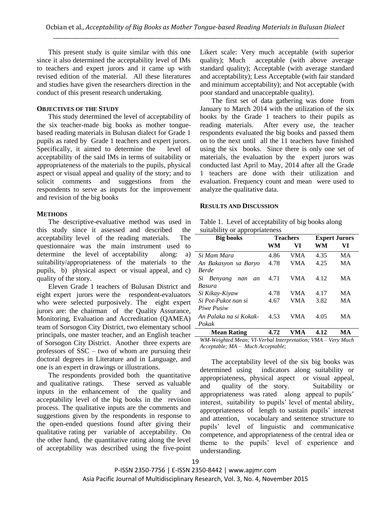This present study is quite similar with this one since it also determined the acceptability level of IMs to teachers and expert jurors and it came up with revised edition of the material. All these literatures and studies have given the researchers direction in the conduct of this present research undertaking.

## **OBJECTIVES OF THE STUDY**

This study determined the level of acceptability of the six teacher-made big books as mother tonguebased reading materials in Bulusan dialect for Grade 1 pupils as rated by Grade 1 teachers and expert jurors. Specifically, it aimed to determine the level of acceptability of the said IMs in terms of suitability or appropriateness of the materials to the pupils, physical aspect or visual appeal and quality of the story; and to solicit comments and suggestions from the respondents to serve as inputs for the improvement and revision of the big books

## **METHODS**

The descriptive-evaluative method was used in this study since it assessed and described the acceptability level of the reading materials. The questionnaire was the main instrument used to determine the level of acceptability along: a) suitability/appropriateness of the materials to the pupils, b) physical aspect or visual appeal, and c) quality of the story.

Eleven Grade 1 teachers of Bulusan District and eight expert jurors were the respondent-evaluators who were selected purposively. The eight expert jurors are: the chairman of the Quality Assurance, Monitoring, Evaluation and Accreditation (QAMEA) team of Sorsogon City District, two elementary school principals, one master teacher, and an English teacher of Sorsogon City District. Another three experts are professors of SSC – two of whom are pursuing their doctoral degrees in Literature and in Language, and one is an expert in drawings or illustrations.

The respondents provided both the quantitative and qualitative ratings. These served as valuable inputs in the enhancement of the quality and acceptability level of the big books in the revision process. The qualitative inputs are the comments and suggestions given by the respondents in response to the open-ended questions found after giving their qualitative rating per variable of acceptability. On the other hand, the quantitative rating along the level of acceptability was described using the five-point

Likert scale: Very much acceptable (with superior quality); Much acceptable (with above average standard quality); Acceptable (with average standard and acceptability); Less Acceptable (with fair standard and minimum acceptability); and Not acceptable (with poor standard and unacceptable quality).

The first set of data gathering was done from January to March 2014 with the utilization of the six books by the Grade 1 teachers to their pupils as reading materials. After every use, the teacher respondents evaluated the big books and passed them on to the next until all the 11 teachers have finished using the six books. Since there is only one set of materials, the evaluation by the expert jurors was conducted last April to May, 2014 after all the Grade 1 teachers are done with their utilization and evaluation. Frequency count and mean were used to analyze the qualitative data.

## **RESULTS AND DISCUSSION**

| Table 1. Level of acceptability of big books along |
|----------------------------------------------------|
| suitability or appropriateness                     |

| <b>Big books</b>           |      | <b>Teachers</b> | <b>Expert Jurors</b> |    |
|----------------------------|------|-----------------|----------------------|----|
|                            | WМ   | VI              | WM                   | VI |
| Si Mam Mara                | 4.86 | VMA             | 4.35                 | MA |
| An Bakasyon sa Baryo       | 4.78 | VMA             | 4.25                 | МA |
| <b>Berde</b>               |      |                 |                      |    |
| Benyang<br>Si<br>nan<br>an | 4.71 | <b>VMA</b>      | 4.12                 | MA |
| Basura                     |      |                 |                      |    |
| Si Kikay-Kiyaw             | 4.78 | <b>VMA</b>      | 4.17                 | MA |
| Si Pot-Pukot nan si        | 4.67 | <b>VMA</b>      | 3.82                 | МA |
| Piwe Pusiw                 |      |                 |                      |    |
| An Palaka na si Kokak-     | 4.53 | VMA             | 4.05                 | МA |
| Pokak                      |      |                 |                      |    |
| <b>Mean Rating</b>         | 4.72 | ÆА              | 4.12                 | MА |

*WM-Weighted Mean; VI-Verbal Interpretation; VMA – Very Much Acceptable; MA – Much Acceptable;* 

The acceptability level of the six big books was determined using indicators along suitability or appropriateness, physical aspect or visual appeal, and quality of the story. Suitability or appropriateness was rated along appeal to pupils' interest, suitability to pupils' level of mental ability, appropriateness of length to sustain pupils' interest and attention, vocabulary and sentence structure to pupils' level of linguistic and communicative competence, and appropriateness of the central idea or theme to the pupils' level of experience and understanding.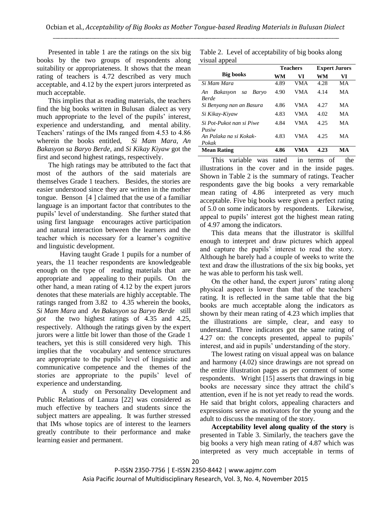Presented in table 1 are the ratings on the six big books by the two groups of respondents along suitability or appropriateness. It shows that the mean rating of teachers is 4.72 described as very much acceptable, and 4.12 by the expert jurors interpreted as much acceptable.

This implies that as reading materials, the teachers find the big books written in Bulusan dialect as very much appropriate to the level of the pupils' interest, experience and understanding, and mental ability. Teachers' ratings of the IMs ranged from 4.53 to 4.86 wherein the books entitled, *Si Mam Mara, An Bakasyon sa Baryo Berde,* and *Si Kikay Kiyaw* got the first and second highest ratings, respectively.

The high ratings may be attributed to the fact that most of the authors of the said materials are themselves Grade 1 teachers. Besides, the stories are easier understood since they are written in the mother tongue. Benson [4 ] claimed that the use of a familiar language is an important factor that contributes to the pupils' level of understanding. She further stated that using first language encourages active participation and natural interaction between the learners and the teacher which is necessary for a learner's cognitive and linguistic development.

Having taught Grade 1 pupils for a number of years, the 11 teacher respondents are knowledgeable enough on the type of reading materials that are appropriate and appealing to their pupils. On the other hand, a mean rating of 4.12 by the expert jurors denotes that these materials are highly acceptable. The ratings ranged from 3.82 to 4.35 wherein the books, *Si Mam Mara* and *An Bakasyon sa Baryo Berde* still *got* the two highest ratings of 4.35 and 4.25, respectively. Although the ratings given by the expert jurors were a little bit lower than those of the Grade 1 teachers, yet this is still considered very high. This implies that the vocabulary and sentence structures are appropriate to the pupils' level of linguistic and communicative competence and the themes of the stories are appropriate to the pupils' level of experience and understanding.

A study on Personality Development and Public Relations of Lanuza [22] was considered as much effective by teachers and students since the subject matters are appealing. It was further stressed that IMs whose topics are of interest to the learners greatly contribute to their performance and make learning easier and permanent.

Table 2. Level of acceptability of big books along visual appeal

|                                               |      | <b>Teachers</b> | <b>Expert Jurors</b> |    |
|-----------------------------------------------|------|-----------------|----------------------|----|
| <b>Big books</b>                              | WM   | VI              | WM                   | VI |
| Si Mam Mara                                   | 4.89 | <b>VMA</b>      | 4.28                 | МA |
| Bakasyon<br>Baryo<br>An<br>sa<br><b>Berde</b> | 4.90 | VMA             | 4.14                 | МA |
| Si Benyang nan an Basura                      | 4.86 | <b>VMA</b>      | 4.27                 | MА |
| Si Kikay-Kiyaw                                | 4.83 | VMA             | 4.02                 | МA |
| Si Pot-Pukot nan si Piwe<br>Pusiw             | 4.84 | VMA             | 4.25                 | МA |
| An Palaka na si Kokak-<br>Pokak               | 4.83 | VMA             | 4.25                 | MА |
| <b>Mean Rating</b>                            | 4.86 | VMA             | 4.23                 | MА |

This variable was rated in terms of the illustrations in the cover and in the inside pages. Shown in Table 2 is the summary of ratings. Teacher respondents gave the big books a very remarkable mean rating of 4.86 interpreted as very much acceptable. Five big books were given a perfect rating of 5.0 on some indicators by respondents. Likewise, appeal to pupils' interest got the highest mean rating of 4.97 among the indicators.

This data means that the illustrator is skillful enough to interpret and draw pictures which appeal and capture the pupils' interest to read the story. Although he barely had a couple of weeks to write the text and draw the illustrations of the six big books, yet he was able to perform his task well.

On the other hand, the expert jurors' rating along physical aspect is lower than that of the teachers' rating. It is reflected in the same table that the big books are much acceptable along the indicators as shown by their mean rating of 4.23 which implies that the illustrations are simple, clear, and easy to understand. Three indicators got the same rating of 4.27 on: the concepts presented, appeal to pupils' interest, and aid in pupils' understanding of the story.

The lowest rating on visual appeal was on balance and harmony (4.02) since drawings are not spread on the entire illustration pages as per comment of some respondents. Wright [15] asserts that drawings in big books are necessary since they attract the child's attention, even if he is not yet ready to read the words. He said that bright colors, appealing characters and expressions serve as motivators for the young and the adult to discuss the meaning of the story.

**Acceptability level along quality of the story** is presented in Table 3. Similarly, the teachers gave the big books a very high mean rating of 4.87 which was interpreted as very much acceptable in terms of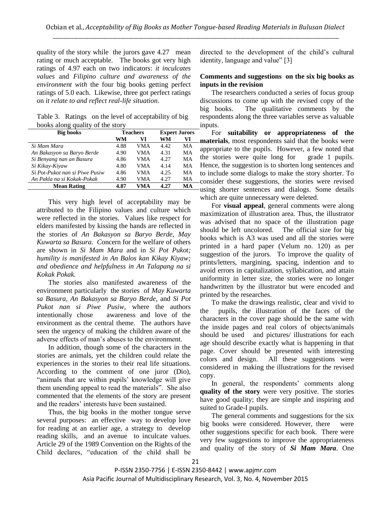quality of the story while the jurors gave 4.27 mean rating or much acceptable. The books got very high ratings of 4.97 each on two indicators: *it inculcates values* and *Filipino culture and awareness of the environment with* the four big books getting perfect ratings of 5.0 each. Likewise, three got perfect ratings on *it relate to and reflect real-life situation.*

Table 3. Ratings on the level of acceptability of big books along quality of the story

| <b>Big books</b>               |      | <b>Teachers</b> | <b>Expert Jurors</b> |    |
|--------------------------------|------|-----------------|----------------------|----|
|                                | WM   | VI              | WM                   | VI |
| Si Mam Mara                    | 4.88 | VMA             | 4.42                 | MА |
| An Bakasyon sa Baryo Berde     | 4.90 | VMA             | 4.31                 | MА |
| Si Benyang nan an Basura       | 4.86 | VMA             | 4.27                 | MА |
| Si Kikay-Kiyaw                 | 4.80 | VMA             | 4.14                 | MА |
| Si Pot-Pukot nan si Piwe Pusiw | 4.86 | VMA             | 4.25                 | MА |
| An Pakla na si Kokak-Pokak     | 4.90 | VMA             | 4.27                 | МA |
| <b>Mean Rating</b>             | 4.87 | VMA             | 4.27                 | MА |

This very high level of acceptability may be attributed to the Filipino values and culture which were reflected in the stories. Values like respect for elders manifested by kissing the hands are reflected in the stories of *An Bakasyon sa Baryo Berde, May Kuwarta sa Basura. C*oncern for the welfare of others are shown in *Si Mam Mara* and in *Si Pot Pukot; humility is manifested in An Balos kan Kikay Kiyaw; and obedience and helpfulness in An Talapang na si Kokak Pokak.* 

The stories also manifested awareness of the environment particularly the stories of *May Kuwarta sa Basura, An Bakasyon sa Baryo Berde,* and *Si Pot Pukot nan si Piwe Pusiw,* where the authors intentionally chose awareness and love of the environment as the central theme. The authors have seen the urgency of making the children aware of the adverse effects of man's abuses to the environment.

In addition, though some of the characters in the stories are animals, yet the children could relate the experiences in the stories to their real life situations. According to the comment of one juror (Dio), "animals that are within pupils' knowledge will give them unending appeal to read the materials". She also commented that the elements of the story are present and the readers' interests have been sustained.

Thus, the big books in the mother tongue serve several purposes: an effective way to develop love for reading at an earlier age, a strategy to develop reading skills, and an avenue to inculcate values. Article 29 of the 1989 Convention on the Rights of the Child declares, "education of the child shall be directed to the development of the child's cultural identity, language and value" [3]

## **Comments and suggestions on the six big books as inputs in the revision**

The researchers conducted a series of focus group discussions to come up with the revised copy of the big books. The qualitative comments by the respondents along the three variables serve as valuable inputs.

For **suitability or appropriateness of the materials**, most respondents said that the books were appropriate to the pupils. However, a few noted that the stories were quite long for grade 1 pupils. Hence, the suggestion is to shorten long sentences and to include some dialogs to make the story shorter. To consider these suggestions, the stories were revised using shorter sentences and dialogs. Some details which are quite unnecessary were deleted.

For **visual appeal**, general comments were along maximization of illustration area. Thus, the illustrator was advised that no space of the illustration page should be left uncolored. The official size for big books which is A3 was used and all the stories were printed in a hard paper (Velum no. 120) as per suggestion of the jurors. To improve the quality of prints/letters, margining, spacing, indention and to avoid errors in capitalization, syllabication, and attain uniformity in letter size, the stories were no longer handwritten by the illustrator but were encoded and printed by the researches.

To make the drawings realistic, clear and vivid to the pupils, the illustration of the faces of the characters in the cover page should be the same with the inside pages and real colors of objects/animals should be used and pictures/ illustrations for each age should describe exactly what is happening in that page. Cover should be presented with interesting colors and design. All these suggestions were considered in making the illustrations for the revised copy.

In general, the respondents' comments along **quality of the story** were very positive. The stories have good quality; they are simple and inspiring and suited to Grade-I pupils.

The general comments and suggestions for the six big books were considered. However, there were other suggestions specific for each book. There were very few suggestions to improve the appropriateness and quality of the story of *Si Mam Mara*. One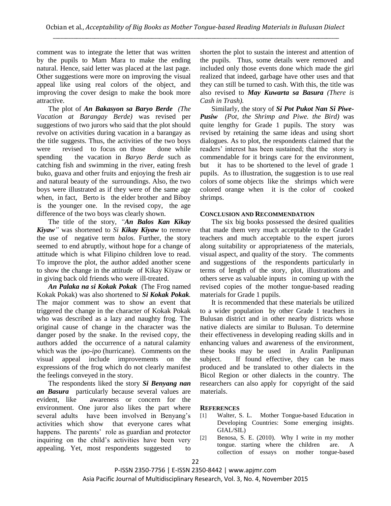comment was to integrate the letter that was written by the pupils to Mam Mara to make the ending natural. Hence, said letter was placed at the last page. Other suggestions were more on improving the visual appeal like using real colors of the object, and improving the cover design to make the book more attractive.

The plot of *An Bakasyon sa Baryo Berde (The Vacation at Barangay Berde)* was revised per suggestions of two jurors who said that the plot should revolve on activities during vacation in a barangay as the title suggests. Thus, the activities of the two boys were revised to focus on those done while spending the vacation in *Baryo Berde* such as catching fish and swimming in the river, eating fresh buko, guava and other fruits and enjoying the fresh air and natural beauty of the surroundings. Also, the two boys were illustrated as if they were of the same age when, in fact, Berto is the elder brother and Biboy is the younger one. In the revised copy, the age difference of the two boys was clearly shown.

The title of the story, *"An Balos Kan Kikay Kiyaw"* was shortened to *Si Kikay Kiyaw* to remove the use of negative term *balos.* Further, the story seemed to end abruptly, without hope for a change of attitude which is what Filipino children love to read. To improve the plot, the author added another scene to show the change in the attitude of Kikay Kiyaw or in giving back old friends who were ill-treated.

*An Palaka na si Kokak Pokak* (The Frog named Kokak Pokak) was also shortened to *Si Kokak Pokak.*  The major comment was to show an event that triggered the change in the character of Kokak Pokak who was described as a lazy and naughty frog. The original cause of change in the character was the danger posed by the snake. In the revised copy, the authors added the occurrence of a natural calamity which was the *ipo-ipo* (hurricane). Comments on the visual appeal include improvements on the expressions of the frog which do not clearly manifest the feelings conveyed in the story.

The respondents liked the story *Si Benyang nan an Basura* particularly because several values are evident, like awareness or concern for the environment. One juror also likes the part where several adults have been involved in Benyang's activities which show that everyone cares what happens. The parents' role as guardian and protector inquiring on the child's activities have been very appealing. Yet, most respondents suggested to

shorten the plot to sustain the interest and attention of the pupils. Thus, some details were removed and included only those events done which made the girl realized that indeed, garbage have other uses and that they can still be turned to cash. With this, the title was also revised to *May Kuwarta sa Basura (There is Cash in Trash).*

Similarly, the story of *Si Pot Pukot Nan Si Piwe-Pusiw (Pot, the Shrimp and Piwe. the Bird)* was quite lengthy for Grade 1 pupils. The story was revised by retaining the same ideas and using short dialogues. As to plot, the respondents claimed that the readers' interest has been sustained; that the story is commendable for it brings care for the environment, but it has to be shortened to the level of grade 1 pupils. As to illustration, the suggestion is to use real colors of some objects like the shrimps which were colored orange when it is the color of cooked shrimps.

#### **CONCLUSION AND RECOMMENDATION**

The six big books possessed the desired qualities that made them very much acceptable to the Grade1 teachers and much acceptable to the expert jurors along suitability or appropriateness of the materials, visual aspect, and quality of the story. The comments and suggestions of the respondents particularly in terms of length of the story, plot, illustrations and others serve as valuable inputs in coming up with the revised copies of the mother tongue-based reading materials for Grade 1 pupils.

It is recommended that these materials be utilized to a wider population by other Grade 1 teachers in Bulusan district and in other nearby districts whose native dialects are similar to Bulusan. To determine their effectiveness in developing reading skills and in enhancing values and awareness of the environment, these books may be used in Aralin Panlipunan subject. If found effective, they can be mass produced and be translated to other dialects in the Bicol Region or other dialects in the country. The researchers can also apply for copyright of the said materials.

## **REFERENCES**

- [1] Walter, S. L. Mother Tongue-based Education in Developing Countries: Some emerging insights. GIAL/SIL)
- [2] Benosa, S. E. (2010). Why I write in my mother tongue. starting where the children are. A collection of essays on mother tongue-based